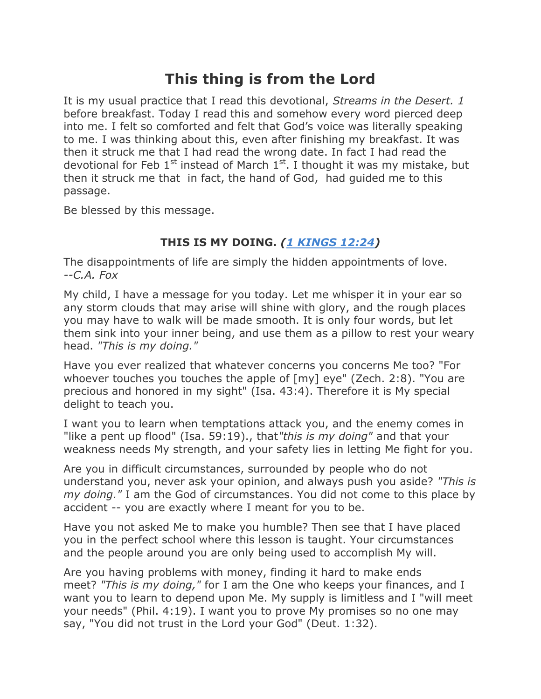## **This thing is from the Lord**

It is my usual practice that I read this devotional, *Streams in the Desert. 1*  before breakfast. Today I read this and somehow every word pierced deep into me. I felt so comforted and felt that God's voice was literally speaking to me. I was thinking about this, even after finishing my breakfast. It was then it struck me that I had read the wrong date. In fact I had read the devotional for Feb  $1^{st}$  instead of March  $1^{st}$ . I thought it was my mistake, but then it struck me that in fact, the hand of God, had guided me to this passage.

Be blessed by this message.

## **THIS IS MY DOING.** *[\(1 KINGS 12:24\)](http://www.biblestudytools.com/search/?t=kjv&q=1ki+12:24-24)*

The disappointments of life are simply the hidden appointments of love. *--C.A. Fox*

My child, I have a message for you today. Let me whisper it in your ear so any storm clouds that may arise will shine with glory, and the rough places you may have to walk will be made smooth. It is only four words, but let them sink into your inner being, and use them as a pillow to rest your weary head. *"This is my doing."*

Have you ever realized that whatever concerns you concerns Me too? "For whoever touches you touches the apple of [my] eye" (Zech. 2:8). "You are precious and honored in my sight" (Isa. 43:4). Therefore it is My special delight to teach you.

I want you to learn when temptations attack you, and the enemy comes in "like a pent up flood" (Isa. 59:19)., that*"this is my doing"* and that your weakness needs My strength, and your safety lies in letting Me fight for you.

Are you in difficult circumstances, surrounded by people who do not understand you, never ask your opinion, and always push you aside? *"This is my doing."* I am the God of circumstances. You did not come to this place by accident -- you are exactly where I meant for you to be.

Have you not asked Me to make you humble? Then see that I have placed you in the perfect school where this lesson is taught. Your circumstances and the people around you are only being used to accomplish My will.

Are you having problems with money, finding it hard to make ends meet? *"This is my doing,"* for I am the One who keeps your finances, and I want you to learn to depend upon Me. My supply is limitless and I "will meet your needs" (Phil. 4:19). I want you to prove My promises so no one may say, "You did not trust in the Lord your God" (Deut. 1:32).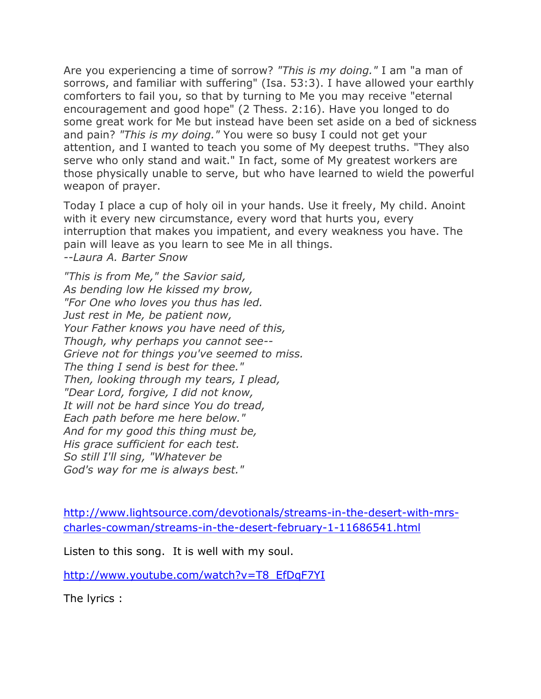Are you experiencing a time of sorrow? *"This is my doing."* I am "a man of sorrows, and familiar with suffering" (Isa. 53:3). I have allowed your earthly comforters to fail you, so that by turning to Me you may receive "eternal encouragement and good hope" (2 Thess. 2:16). Have you longed to do some great work for Me but instead have been set aside on a bed of sickness and pain? *"This is my doing."* You were so busy I could not get your attention, and I wanted to teach you some of My deepest truths. "They also serve who only stand and wait." In fact, some of My greatest workers are those physically unable to serve, but who have learned to wield the powerful weapon of prayer.

Today I place a cup of holy oil in your hands. Use it freely, My child. Anoint with it every new circumstance, every word that hurts you, every interruption that makes you impatient, and every weakness you have. The pain will leave as you learn to see Me in all things. *--Laura A. Barter Snow*

*"This is from Me," the Savior said, As bending low He kissed my brow, "For One who loves you thus has led. Just rest in Me, be patient now, Your Father knows you have need of this, Though, why perhaps you cannot see-- Grieve not for things you've seemed to miss. The thing I send is best for thee." Then, looking through my tears, I plead, "Dear Lord, forgive, I did not know, It will not be hard since You do tread, Each path before me here below." And for my good this thing must be, His grace sufficient for each test. So still I'll sing, "Whatever be God's way for me is always best."*

[http://www.lightsource.com/devotionals/streams-in-the-desert-with-mrs](http://www.lightsource.com/devotionals/streams-in-the-desert-with-mrs-charles-cowman/streams-in-the-desert-february-1-11686541.html)[charles-cowman/streams-in-the-desert-february-1-11686541.html](http://www.lightsource.com/devotionals/streams-in-the-desert-with-mrs-charles-cowman/streams-in-the-desert-february-1-11686541.html)

Listen to this song. It is well with my soul.

[http://www.youtube.com/watch?v=T8\\_EfDqF7YI](http://www.youtube.com/watch?v=T8_EfDqF7YI)

The lyrics :